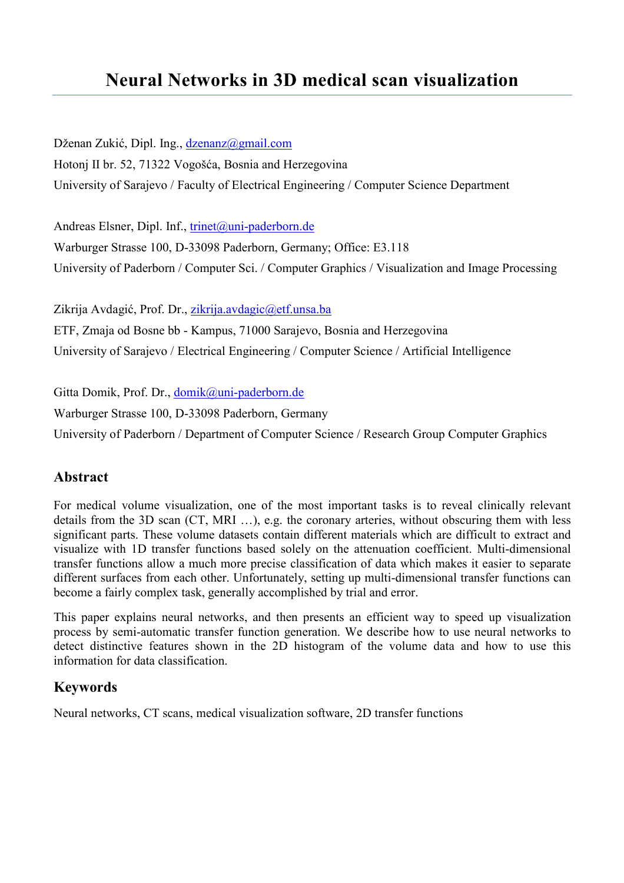# Neural Networks in 3D medical scan visualization

Dženan Zukić, Dipl. Ing., dzenanz@gmail.com Hotonj II br. 52, 71322 Vogošća, Bosnia and Herzegovina University of Sarajevo / Faculty of Electrical Engineering / Computer Science Department

Andreas Elsner, Dipl. Inf., trinet@uni-paderborn.de

Warburger Strasse 100, D-33098 Paderborn, Germany; Office: E3.118 University of Paderborn / Computer Sci. / Computer Graphics / Visualization and Image Processing

Zikrija Avdagić, Prof. Dr., zikrija.avdagic@etf.unsa.ba ETF, Zmaja od Bosne bb - Kampus, 71000 Sarajevo, Bosnia and Herzegovina

University of Sarajevo / Electrical Engineering / Computer Science / Artificial Intelligence

Gitta Domik, Prof. Dr., domik@uni-paderborn.de

Warburger Strasse 100, D-33098 Paderborn, Germany

University of Paderborn / Department of Computer Science / Research Group Computer Graphics

# Abstract

For medical volume visualization, one of the most important tasks is to reveal clinically relevant details from the 3D scan (CT, MRI …), e.g. the coronary arteries, without obscuring them with less significant parts. These volume datasets contain different materials which are difficult to extract and visualize with 1D transfer functions based solely on the attenuation coefficient. Multi-dimensional transfer functions allow a much more precise classification of data which makes it easier to separate different surfaces from each other. Unfortunately, setting up multi-dimensional transfer functions can become a fairly complex task, generally accomplished by trial and error.

This paper explains neural networks, and then presents an efficient way to speed up visualization process by semi-automatic transfer function generation. We describe how to use neural networks to detect distinctive features shown in the 2D histogram of the volume data and how to use this information for data classification.

#### Keywords

Neural networks, CT scans, medical visualization software, 2D transfer functions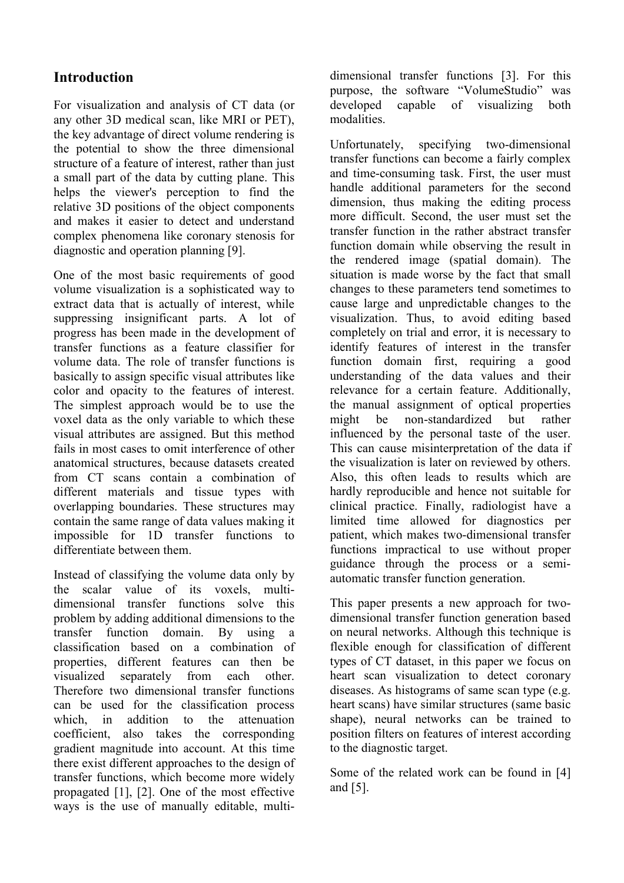# **Introduction**

For visualization and analysis of CT data (or any other 3D medical scan, like MRI or PET), the key advantage of direct volume rendering is the potential to show the three dimensional structure of a feature of interest, rather than just a small part of the data by cutting plane. This helps the viewer's perception to find the relative 3D positions of the object components and makes it easier to detect and understand complex phenomena like coronary stenosis for diagnostic and operation planning [9].

One of the most basic requirements of good volume visualization is a sophisticated way to extract data that is actually of interest, while suppressing insignificant parts. A lot of progress has been made in the development of transfer functions as a feature classifier for volume data. The role of transfer functions is basically to assign specific visual attributes like color and opacity to the features of interest. The simplest approach would be to use the voxel data as the only variable to which these visual attributes are assigned. But this method fails in most cases to omit interference of other anatomical structures, because datasets created from CT scans contain a combination of different materials and tissue types with overlapping boundaries. These structures may contain the same range of data values making it impossible for 1D transfer functions to differentiate between them.

Instead of classifying the volume data only by the scalar value of its voxels, multidimensional transfer functions solve this problem by adding additional dimensions to the transfer function domain. By using a classification based on a combination of properties, different features can then be visualized separately from each other. Therefore two dimensional transfer functions can be used for the classification process which in addition to the attenuation coefficient, also takes the corresponding gradient magnitude into account. At this time there exist different approaches to the design of transfer functions, which become more widely propagated [1], [2]. One of the most effective ways is the use of manually editable, multidimensional transfer functions [3]. For this purpose, the software "VolumeStudio" was developed capable of visualizing both modalities.

Unfortunately, specifying two-dimensional transfer functions can become a fairly complex and time-consuming task. First, the user must handle additional parameters for the second dimension, thus making the editing process more difficult. Second, the user must set the transfer function in the rather abstract transfer function domain while observing the result in the rendered image (spatial domain). The situation is made worse by the fact that small changes to these parameters tend sometimes to cause large and unpredictable changes to the visualization. Thus, to avoid editing based completely on trial and error, it is necessary to identify features of interest in the transfer function domain first, requiring a good understanding of the data values and their relevance for a certain feature. Additionally, the manual assignment of optical properties might be non-standardized but rather influenced by the personal taste of the user. This can cause misinterpretation of the data if the visualization is later on reviewed by others. Also, this often leads to results which are hardly reproducible and hence not suitable for clinical practice. Finally, radiologist have a limited time allowed for diagnostics per patient, which makes two-dimensional transfer functions impractical to use without proper guidance through the process or a semiautomatic transfer function generation.

This paper presents a new approach for twodimensional transfer function generation based on neural networks. Although this technique is flexible enough for classification of different types of CT dataset, in this paper we focus on heart scan visualization to detect coronary diseases. As histograms of same scan type (e.g. heart scans) have similar structures (same basic shape), neural networks can be trained to position filters on features of interest according to the diagnostic target.

Some of the related work can be found in [4] and [5].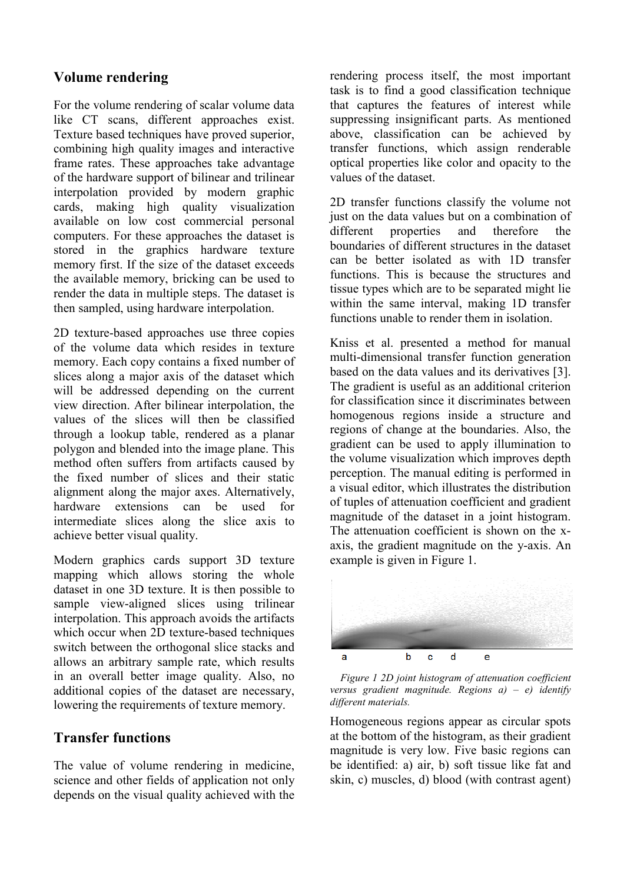## Volume rendering

For the volume rendering of scalar volume data like CT scans, different approaches exist. Texture based techniques have proved superior, combining high quality images and interactive frame rates. These approaches take advantage of the hardware support of bilinear and trilinear interpolation provided by modern graphic cards, making high quality visualization available on low cost commercial personal computers. For these approaches the dataset is stored in the graphics hardware texture memory first. If the size of the dataset exceeds the available memory, bricking can be used to render the data in multiple steps. The dataset is then sampled, using hardware interpolation.

2D texture-based approaches use three copies of the volume data which resides in texture memory. Each copy contains a fixed number of slices along a major axis of the dataset which will be addressed depending on the current view direction. After bilinear interpolation, the values of the slices will then be classified through a lookup table, rendered as a planar polygon and blended into the image plane. This method often suffers from artifacts caused by the fixed number of slices and their static alignment along the major axes. Alternatively, hardware extensions can be used for intermediate slices along the slice axis to achieve better visual quality.

Modern graphics cards support 3D texture mapping which allows storing the whole dataset in one 3D texture. It is then possible to sample view-aligned slices using trilinear interpolation. This approach avoids the artifacts which occur when 2D texture-based techniques switch between the orthogonal slice stacks and allows an arbitrary sample rate, which results in an overall better image quality. Also, no additional copies of the dataset are necessary, lowering the requirements of texture memory.

#### Transfer functions

The value of volume rendering in medicine, science and other fields of application not only depends on the visual quality achieved with the rendering process itself, the most important task is to find a good classification technique that captures the features of interest while suppressing insignificant parts. As mentioned above, classification can be achieved by transfer functions, which assign renderable optical properties like color and opacity to the values of the dataset.

2D transfer functions classify the volume not just on the data values but on a combination of different properties and therefore the boundaries of different structures in the dataset can be better isolated as with 1D transfer functions. This is because the structures and tissue types which are to be separated might lie within the same interval, making 1D transfer functions unable to render them in isolation.

Kniss et al. presented a method for manual multi-dimensional transfer function generation based on the data values and its derivatives [3]. The gradient is useful as an additional criterion for classification since it discriminates between homogenous regions inside a structure and regions of change at the boundaries. Also, the gradient can be used to apply illumination to the volume visualization which improves depth perception. The manual editing is performed in a visual editor, which illustrates the distribution of tuples of attenuation coefficient and gradient magnitude of the dataset in a joint histogram. The attenuation coefficient is shown on the xaxis, the gradient magnitude on the y-axis. An example is given in Figure 1.





Homogeneous regions appear as circular spots at the bottom of the histogram, as their gradient magnitude is very low. Five basic regions can be identified: a) air, b) soft tissue like fat and skin, c) muscles, d) blood (with contrast agent)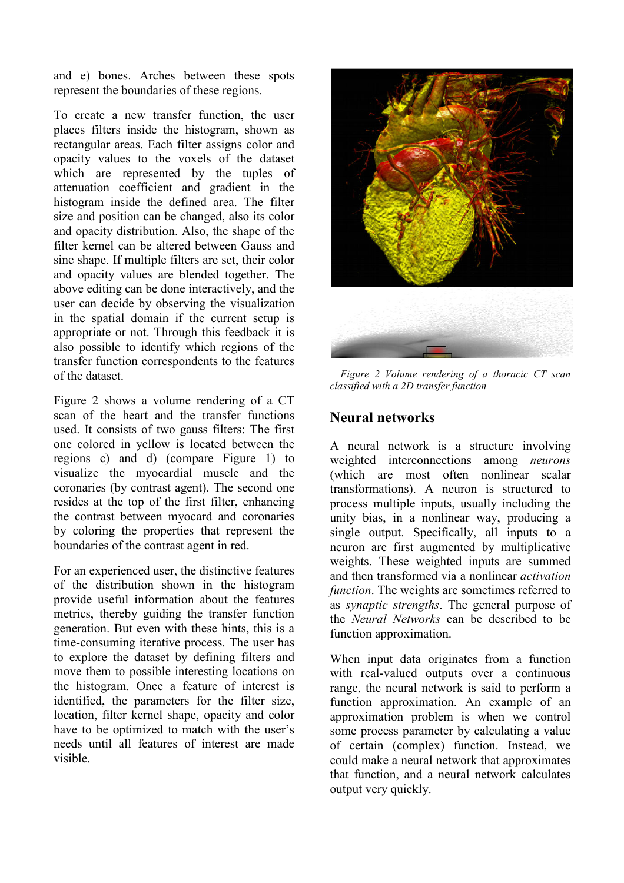and e) bones. Arches between these spots represent the boundaries of these regions.

To create a new transfer function, the user places filters inside the histogram, shown as rectangular areas. Each filter assigns color and opacity values to the voxels of the dataset which are represented by the tuples of attenuation coefficient and gradient in the histogram inside the defined area. The filter size and position can be changed, also its color and opacity distribution. Also, the shape of the filter kernel can be altered between Gauss and sine shape. If multiple filters are set, their color and opacity values are blended together. The above editing can be done interactively, and the user can decide by observing the visualization in the spatial domain if the current setup is appropriate or not. Through this feedback it is also possible to identify which regions of the transfer function correspondents to the features of the dataset.

Figure 2 shows a volume rendering of a CT scan of the heart and the transfer functions used. It consists of two gauss filters: The first one colored in yellow is located between the regions c) and d) (compare Figure 1) to visualize the myocardial muscle and the coronaries (by contrast agent). The second one resides at the top of the first filter, enhancing the contrast between myocard and coronaries by coloring the properties that represent the boundaries of the contrast agent in red.

For an experienced user, the distinctive features of the distribution shown in the histogram provide useful information about the features metrics, thereby guiding the transfer function generation. But even with these hints, this is a time-consuming iterative process. The user has to explore the dataset by defining filters and move them to possible interesting locations on the histogram. Once a feature of interest is identified, the parameters for the filter size, location, filter kernel shape, opacity and color have to be optimized to match with the user's needs until all features of interest are made visible.



Figure 2 Volume rendering of a thoracic CT scan classified with a 2D transfer function

# Neural networks

A neural network is a structure involving weighted interconnections among neurons (which are most often nonlinear scalar transformations). A neuron is structured to process multiple inputs, usually including the unity bias, in a nonlinear way, producing a single output. Specifically, all inputs to a neuron are first augmented by multiplicative weights. These weighted inputs are summed and then transformed via a nonlinear activation function. The weights are sometimes referred to as synaptic strengths. The general purpose of the Neural Networks can be described to be function approximation.

When input data originates from a function with real-valued outputs over a continuous range, the neural network is said to perform a function approximation. An example of an approximation problem is when we control some process parameter by calculating a value of certain (complex) function. Instead, we could make a neural network that approximates that function, and a neural network calculates output very quickly.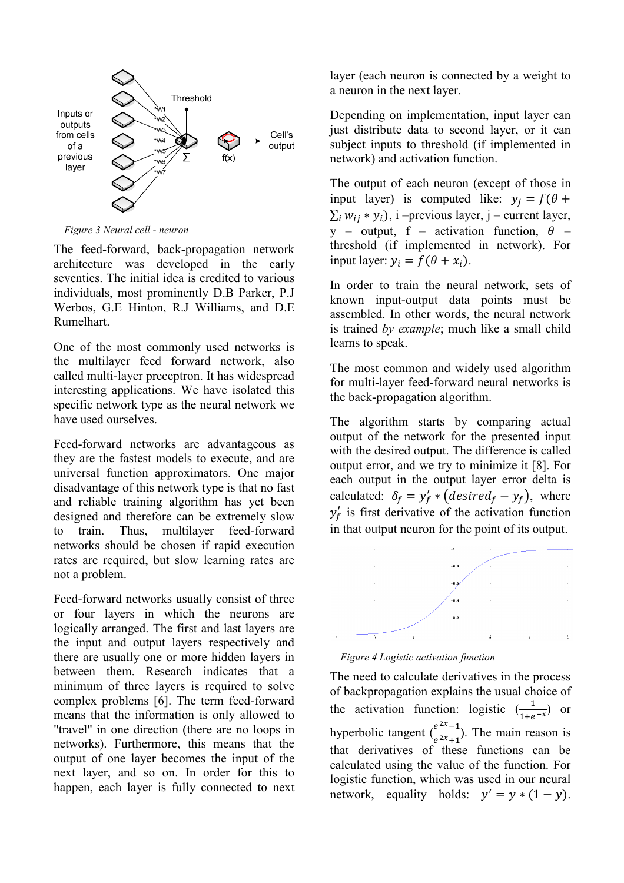

Figure 3 Neural cell - neuron

The feed-forward, back-propagation network architecture was developed in the early seventies. The initial idea is credited to various individuals, most prominently D.B Parker, P.J Werbos, G.E Hinton, R.J Williams, and D.E Rumelhart.

One of the most commonly used networks is the multilayer feed forward network, also called multi-layer preceptron. It has widespread interesting applications. We have isolated this specific network type as the neural network we have used ourselves.

Feed-forward networks are advantageous as they are the fastest models to execute, and are universal function approximators. One major disadvantage of this network type is that no fast and reliable training algorithm has yet been designed and therefore can be extremely slow to train. Thus, multilayer feed-forward networks should be chosen if rapid execution rates are required, but slow learning rates are not a problem.

Feed-forward networks usually consist of three or four layers in which the neurons are logically arranged. The first and last layers are the input and output layers respectively and there are usually one or more hidden layers in between them. Research indicates that a minimum of three layers is required to solve complex problems [6]. The term feed-forward means that the information is only allowed to "travel" in one direction (there are no loops in networks). Furthermore, this means that the output of one layer becomes the input of the next layer, and so on. In order for this to happen, each layer is fully connected to next layer (each neuron is connected by a weight to a neuron in the next layer.

Depending on implementation, input layer can just distribute data to second layer, or it can subject inputs to threshold (if implemented in network) and activation function.

The output of each neuron (except of those in input layer) is computed like:  $y_j = f(\theta +$  $\sum_i w_{ij} * y_i$ , i –previous layer, j – current layer, y – output, f – activation function,  $\theta$  – threshold (if implemented in network). For input layer:  $y_i = f(\theta + x_i)$ .

In order to train the neural network, sets of known input-output data points must be assembled. In other words, the neural network is trained by example; much like a small child learns to speak.

The most common and widely used algorithm for multi-layer feed-forward neural networks is the back-propagation algorithm.

The algorithm starts by comparing actual output of the network for the presented input with the desired output. The difference is called output error, and we try to minimize it [8]. For each output in the output layer error delta is calculated:  $\delta_f = y'_f * (desired_f - y_f)$ , where  $y'_f$  is first derivative of the activation function in that output neuron for the point of its output.



Figure 4 Logistic activation function

The need to calculate derivatives in the process of backpropagation explains the usual choice of the activation function: logistic  $\left(\frac{1}{1+e^{-x}}\right)$  or hyperbolic tangent  $\left(\frac{e^{2x}-1}{e^{2x}+1}\right)$  $\frac{e^{-t}}{e^{2x}+1}$ ). The main reason is that derivatives of these functions can be calculated using the value of the function. For logistic function, which was used in our neural network, equality holds:  $y' = y * (1 - y)$ .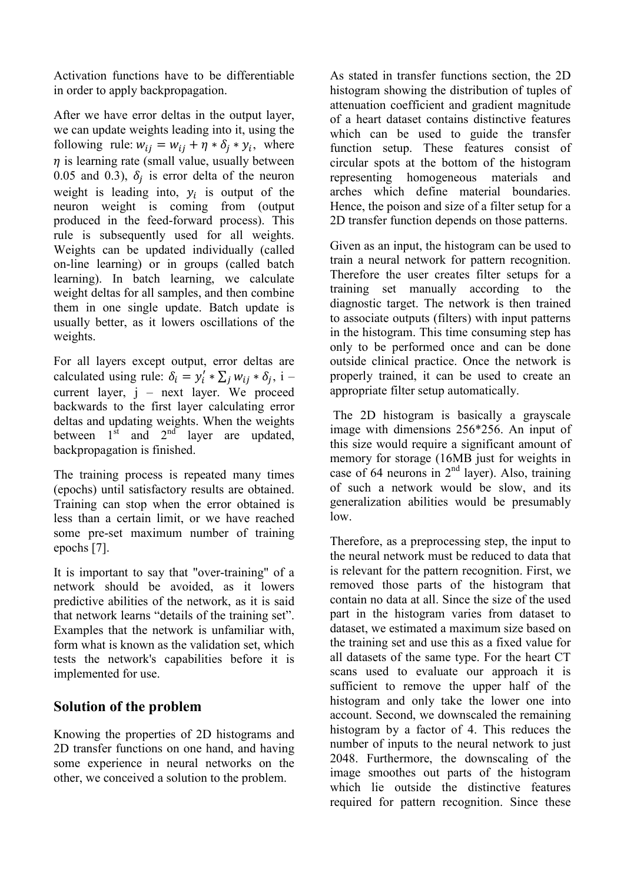Activation functions have to be differentiable in order to apply backpropagation.

After we have error deltas in the output layer, we can update weights leading into it, using the following rule:  $w_{ij} = w_{ij} + \eta * \delta_j * y_i$ , where  $\eta$  is learning rate (small value, usually between 0.05 and 0.3),  $\delta_j$  is error delta of the neuron weight is leading into,  $y_i$  is output of the neuron weight is coming from (output produced in the feed-forward process). This rule is subsequently used for all weights. Weights can be updated individually (called on-line learning) or in groups (called batch learning). In batch learning, we calculate weight deltas for all samples, and then combine them in one single update. Batch update is usually better, as it lowers oscillations of the weights.

For all layers except output, error deltas are calculated using rule:  $\delta_i = y'_i * \sum_j w_{ij} * \delta_j$ , i – current layer, j – next layer. We proceed backwards to the first layer calculating error deltas and updating weights. When the weights between  $1<sup>st</sup>$  and  $2<sup>nd</sup>$  layer are updated, backpropagation is finished.

The training process is repeated many times (epochs) until satisfactory results are obtained. Training can stop when the error obtained is less than a certain limit, or we have reached some pre-set maximum number of training epochs [7].

It is important to say that "over-training" of a network should be avoided, as it lowers predictive abilities of the network, as it is said that network learns "details of the training set". Examples that the network is unfamiliar with, form what is known as the validation set, which tests the network's capabilities before it is implemented for use.

#### Solution of the problem

Knowing the properties of 2D histograms and 2D transfer functions on one hand, and having some experience in neural networks on the other, we conceived a solution to the problem.

As stated in transfer functions section, the 2D histogram showing the distribution of tuples of attenuation coefficient and gradient magnitude of a heart dataset contains distinctive features which can be used to guide the transfer function setup. These features consist of circular spots at the bottom of the histogram representing homogeneous materials and arches which define material boundaries. Hence, the poison and size of a filter setup for a 2D transfer function depends on those patterns.

Given as an input, the histogram can be used to train a neural network for pattern recognition. Therefore the user creates filter setups for a training set manually according to the diagnostic target. The network is then trained to associate outputs (filters) with input patterns in the histogram. This time consuming step has only to be performed once and can be done outside clinical practice. Once the network is properly trained, it can be used to create an appropriate filter setup automatically.

 The 2D histogram is basically a grayscale image with dimensions 256\*256. An input of this size would require a significant amount of memory for storage (16MB just for weights in case of 64 neurons in  $2<sup>nd</sup>$  layer). Also, training of such a network would be slow, and its generalization abilities would be presumably low.

Therefore, as a preprocessing step, the input to the neural network must be reduced to data that is relevant for the pattern recognition. First, we removed those parts of the histogram that contain no data at all. Since the size of the used part in the histogram varies from dataset to dataset, we estimated a maximum size based on the training set and use this as a fixed value for all datasets of the same type. For the heart CT scans used to evaluate our approach it is sufficient to remove the upper half of the histogram and only take the lower one into account. Second, we downscaled the remaining histogram by a factor of 4. This reduces the number of inputs to the neural network to just 2048. Furthermore, the downscaling of the image smoothes out parts of the histogram which lie outside the distinctive features required for pattern recognition. Since these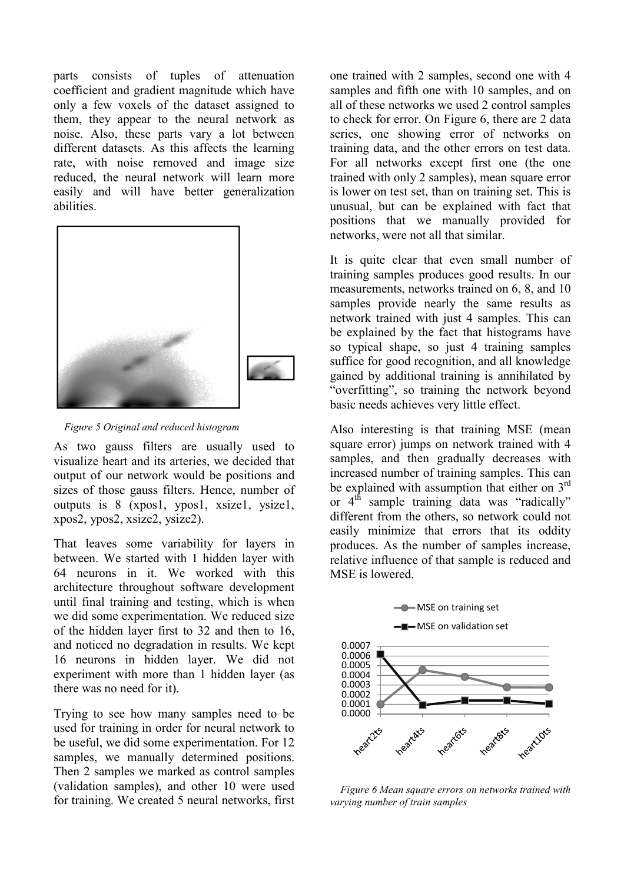parts consists of tuples of attenuation coefficient and gradient magnitude which have only a few voxels of the dataset assigned to them, they appear to the neural network as noise. Also, these parts vary a lot between different datasets. As this affects the learning rate, with noise removed and image size reduced, the neural network will learn more easily and will have better generalization abilities.



Figure 5 Original and reduced histogram

As two gauss filters are usually used to visualize heart and its arteries, we decided that output of our network would be positions and sizes of those gauss filters. Hence, number of outputs is 8 (xpos1, ypos1, xsize1, ysize1, xpos2, ypos2, xsize2, ysize2).

That leaves some variability for layers layers in between. We started with 1 hidden layer with 64 neurons in it. We worked with this architecture throughout software development until final training and testing, which is when we did some experimentation. We reduced size of the hidden layer first to 32 and then to 16, and noticed no degradation in results. We kept 16 neurons in hidden layer. We did not experiment with more than 1 hidden layer (as there was no need for it).

Trying to see how many samples need to be used for training in order for neural network to be useful, we did some experimentation. For 12 samples, we manually determined positions. Then 2 samples we marked as control samples (validation samples), and other 10 were used for training. We created 5 neural networks, first

one trained with 2 samples, second one with 4 samples and fifth one with 10 samples, and on all of these networks we used 2 control samples to check for error. On Figure 6, there are 2 data series, one showing error of networks on training data, and the other errors on test data. For all networks except first one (the one trained with only 2 samples), mean square error is lower on test set, than on training set. This is unusual, but can be explained with fact that positions that we manually provided for networks, were not all that similar.

It is quite clear that even small number of training samples produces good results. In our measurements, networks trained on 6, 8, and 10 samples provide nearly the same results as network trained with just 4 samples. This can be explained by the fact that histograms have so typical shape, so just 4 training samples suffice for good recognition, and all knowledge gained by additional training is annihi "overfitting", so training the network beyond basic needs achieves very little effect. can be explained with fact that<br>aat we manually provided for<br>ree not all that similar.<br>clear that even small number of<br>ples produces good results. In our<br>ts, networks trained on 6, 8, and 10<br>vide nearly the same results as

Also interesting is that training MSE (mean square error) jumps on network trained with 4 samples, and then gradually decreases with increased number of training samples. This can be explained with assumption that either on  $3<sup>rd</sup>$ or  $4<sup>th</sup>$  sample training data was "radically" different from the others, so network could not easily minimize that errors that its oddity produces. As the number of samples increase, relative influence of that sample is reduced and MSE is lowered.



 $\blacksquare$ MSE on validation set



Figure 6 Mean square errors on networks trained with varying number of train samples